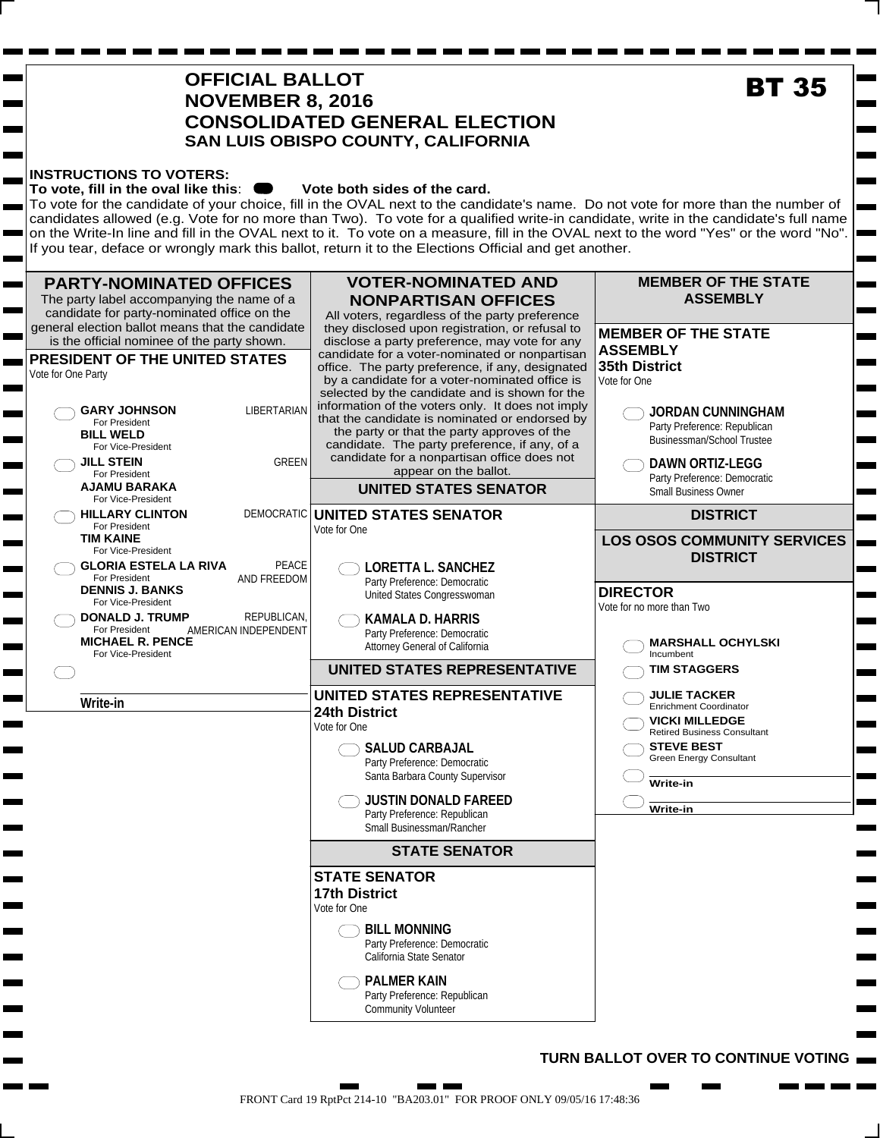|                          | <b>BT 35</b>                                                                                                                                                                                                                                                                                                                                                                                                                                         |                                                                                                                                                                                                                                                                                                                                                                                                                                                                                                                                                                                                                                                                                                         |                                                                                                                                                                                                                                                                                            |
|--------------------------|------------------------------------------------------------------------------------------------------------------------------------------------------------------------------------------------------------------------------------------------------------------------------------------------------------------------------------------------------------------------------------------------------------------------------------------------------|---------------------------------------------------------------------------------------------------------------------------------------------------------------------------------------------------------------------------------------------------------------------------------------------------------------------------------------------------------------------------------------------------------------------------------------------------------------------------------------------------------------------------------------------------------------------------------------------------------------------------------------------------------------------------------------------------------|--------------------------------------------------------------------------------------------------------------------------------------------------------------------------------------------------------------------------------------------------------------------------------------------|
| $\overline{\phantom{a}}$ | <b>INSTRUCTIONS TO VOTERS:</b><br>To vote, fill in the oval like this:                                                                                                                                                                                                                                                                                                                                                                               | Vote both sides of the card.<br>To vote for the candidate of your choice, fill in the OVAL next to the candidate's name. Do not vote for more than the number of<br>candidates allowed (e.g. Vote for no more than Two). To vote for a qualified write-in candidate, write in the candidate's full name<br>on the Write-In line and fill in the OVAL next to it. To vote on a measure, fill in the OVAL next to the word "Yes" or the word "No".<br>If you tear, deface or wrongly mark this ballot, return it to the Elections Official and get another.                                                                                                                                               |                                                                                                                                                                                                                                                                                            |
| مبري                     | <b>PARTY-NOMINATED OFFICES</b><br>The party label accompanying the name of a<br>candidate for party-nominated office on the<br>general election ballot means that the candidate<br>is the official nominee of the party shown.<br>PRESIDENT OF THE UNITED STATES<br>Vote for One Party<br><b>LIBERTARIAN</b><br><b>GARY JOHNSON</b><br>For President<br><b>BILL WELD</b><br>For Vice-President<br><b>GREEN</b><br><b>JILL STEIN</b><br>For President | <b>VOTER-NOMINATED AND</b><br><b>NONPARTISAN OFFICES</b><br>All voters, regardless of the party preference<br>they disclosed upon registration, or refusal to<br>disclose a party preference, may vote for any<br>candidate for a voter-nominated or nonpartisan<br>office. The party preference, if any, designated<br>by a candidate for a voter-nominated office is<br>selected by the candidate and is shown for the<br>information of the voters only. It does not imply<br>that the candidate is nominated or endorsed by<br>the party or that the party approves of the<br>candidate. The party preference, if any, of a<br>candidate for a nonpartisan office does not<br>appear on the ballot. | <b>MEMBER OF THE STATE</b><br><b>ASSEMBLY</b><br><b>MEMBER OF THE STATE</b><br><b>ASSEMBLY</b><br><b>35th District</b><br>Vote for One<br><b>JORDAN CUNNINGHAM</b><br>Party Preference: Republican<br>Businessman/School Trustee<br><b>DAWN ORTIZ-LEGG</b><br>Party Preference: Democratic |
|                          | AJAMU BARAKA<br>For Vice-President<br>DEMOCRATIC<br><b>HILLARY CLINTON</b>                                                                                                                                                                                                                                                                                                                                                                           | <b>UNITED STATES SENATOR</b><br>UNITED STATES SENATOR                                                                                                                                                                                                                                                                                                                                                                                                                                                                                                                                                                                                                                                   | <b>Small Business Owner</b><br><b>DISTRICT</b>                                                                                                                                                                                                                                             |
|                          | For President<br><b>TIM KAINE</b><br>For Vice-President<br>PEACE<br><b>GLORIA ESTELA LA RIVA</b><br>AND FREEDOM<br>For President                                                                                                                                                                                                                                                                                                                     | Vote for One<br><b>LORETTA L. SANCHEZ</b><br>Party Preference: Democratic                                                                                                                                                                                                                                                                                                                                                                                                                                                                                                                                                                                                                               | <b>LOS OSOS COMMUNITY SERVICES</b><br><b>DISTRICT</b>                                                                                                                                                                                                                                      |
|                          | <b>DENNIS J. BANKS</b><br>For Vice-President<br>REPUBLICAN,<br><b>DONALD J. TRUMP</b><br>AMERICAN INDEPENDENT<br>For President<br><b>MICHAEL R. PENCE</b><br>For Vice-President                                                                                                                                                                                                                                                                      | United States Congresswoman<br><b>KAMALA D. HARRIS</b><br>Party Preference: Democratic<br>Attorney General of California                                                                                                                                                                                                                                                                                                                                                                                                                                                                                                                                                                                | <b>DIRECTOR</b><br>Vote for no more than Two<br><b>MARSHALL OCHYLSKI</b><br>Incumbent                                                                                                                                                                                                      |
|                          |                                                                                                                                                                                                                                                                                                                                                                                                                                                      | <b>UNITED STATES REPRESENTATIVE</b>                                                                                                                                                                                                                                                                                                                                                                                                                                                                                                                                                                                                                                                                     | <b>TIM STAGGERS</b>                                                                                                                                                                                                                                                                        |
|                          | Write-in                                                                                                                                                                                                                                                                                                                                                                                                                                             | <b>UNITED STATES REPRESENTATIVE</b><br>24th District<br>Vote for One<br><b>SALUD CARBAJAL</b><br>Party Preference: Democratic<br>Santa Barbara County Supervisor<br><b>JUSTIN DONALD FAREED</b><br>Party Preference: Republican<br>Small Businessman/Rancher<br><b>STATE SENATOR</b><br><b>STATE SENATOR</b><br><b>17th District</b><br>Vote for One<br><b>BILL MONNING</b><br>Party Preference: Democratic<br>California State Senator<br><b>PALMER KAIN</b>                                                                                                                                                                                                                                           | <b>JULIE TACKER</b><br><b>Enrichment Coordinator</b><br><b>VICKI MILLEDGE</b><br><b>Retired Business Consultant</b><br><b>STEVE BEST</b><br><b>Green Energy Consultant</b><br>Write-in<br>Write-in                                                                                         |

**. .** a sa m n  $\blacksquare$ 

 $\overline{\phantom{0}}$ 

#### **TURN BALLOT OVER TO CONTINUE VOTING**

**Contract** 

۰

٠

٠

٠

a a shekara

a pos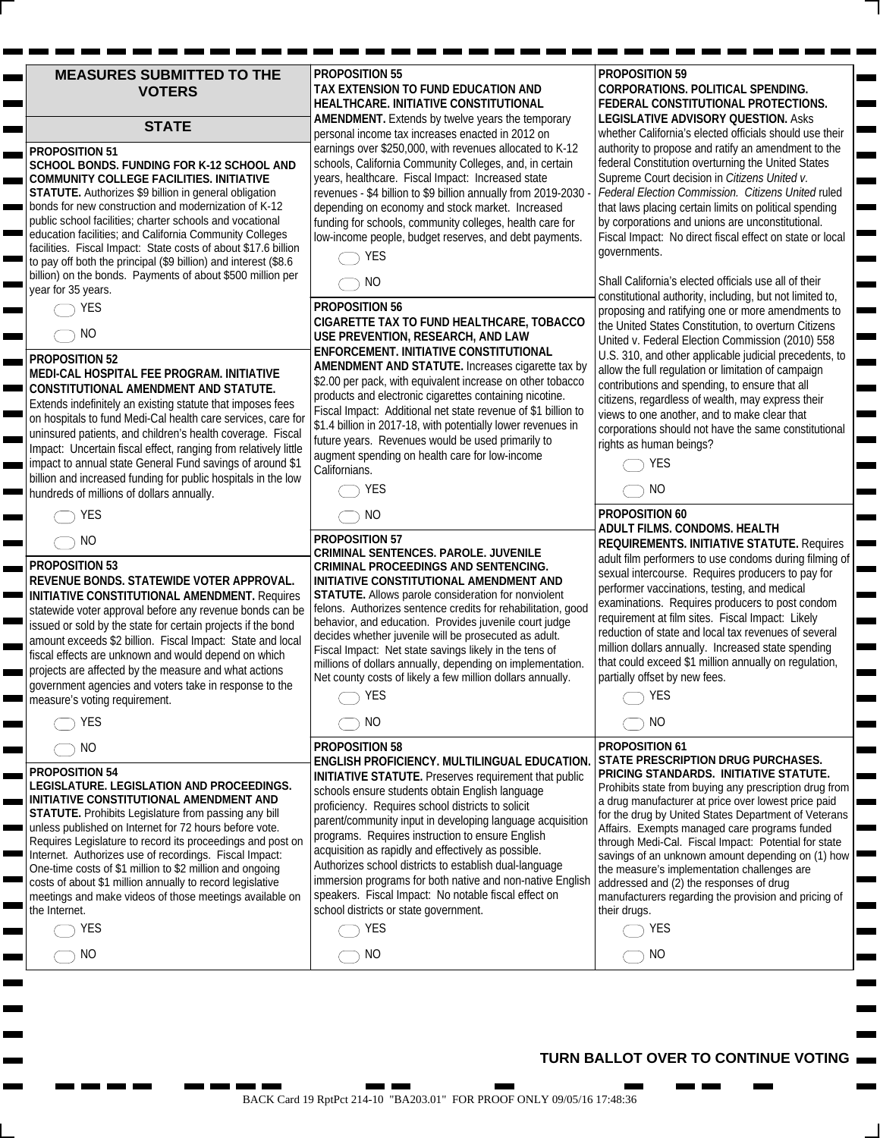| <b>MEASURES SUBMITTED TO THE</b> |  |
|----------------------------------|--|
| <b>VOTERS</b>                    |  |

#### **STATE**

#### **PROPOSITION 51**

**SCHOOL BONDS. FUNDING FOR K-12 SCHOOL AND COMMUNITY COLLEGE FACILITIES. INITIATIVE STATUTE.** Authorizes \$9 billion in general obligation bonds for new construction and modernization of K-12 public school facilities; charter schools and vocational education facilities; and California Community Colleges facilities. Fiscal Impact: State costs of about \$17.6 billion to pay off both the principal (\$9 billion) and interest (\$8.6 billion) on the bonds. Payments of about \$500 million per year for 35 years.

ь

 $\blacksquare$ 

## **PROPOSITION 52**

#### **MEDI-CAL HOSPITAL FEE PROGRAM. INITIATIVE CONSTITUTIONAL AMENDMENT AND STATUTE.**

Extends indefinitely an existing statute that imposes fees on hospitals to fund Medi-Cal health care services, care for uninsured patients, and children's health coverage. Fiscal Impact: Uncertain fiscal effect, ranging from relatively little impact to annual state General Fund savings of around \$1 billion and increased funding for public hospitals in the low hundreds of millions of dollars annually.

|--|--|--|

#### **PROPOSITION 53**

#### **REVENUE BONDS. STATEWIDE VOTER APPROVAL. INITIATIVE CONSTITUTIONAL AMENDMENT.** Requires statewide voter approval before any revenue bonds can be issued or sold by the state for certain projects if the bond amount exceeds \$2 billion. Fiscal Impact: State and local fiscal effects are unknown and would depend on which projects are affected by the measure and what actions government agencies and voters take in response to the measure's voting requirement.

|  | í<br>٧ |  |
|--|--------|--|

#### **PROPOSITION 54**

 $\bigcirc$  YES  $\bigcirc$  NO

#### **LEGISLATURE. LEGISLATION AND PROCEEDINGS. INITIATIVE CONSTITUTIONAL AMENDMENT AND**

**STATUTE.** Prohibits Legislature from passing any bill unless published on Internet for 72 hours before vote. Requires Legislature to record its proceedings and post on Internet. Authorizes use of recordings. Fiscal Impact: One-time costs of \$1 million to \$2 million and ongoing costs of about \$1 million annually to record legislative meetings and make videos of those meetings available on the Internet.

| PROPOSITION 55                                           |
|----------------------------------------------------------|
| TAX EXTENSION TO FUND EDUCATION AND                      |
| HEALTHCARE. INITIATIVE CONSTITUTIONAL                    |
| <b>AMENDMENT.</b> Extends by twelve years the temporary  |
| personal income tax increases enacted in 2012 on         |
| earnings over \$250,000, with revenues allocated to K-12 |
| schools, California Community Colleges, and, in certain  |
| years, healthcare. Fiscal Impact: Increased state        |
|                                                          |

revenues - \$4 billion to \$9 billion annually from 2019-2030 depending on economy and stock market. Increased funding for schools, community colleges, health care for low-income people, budget reserves, and debt payments.



#### **PROPOSITION 56**

**CIGARETTE TAX TO FUND HEALTHCARE, TOBACCO USE PREVENTION, RESEARCH, AND LAW ENFORCEMENT. INITIATIVE CONSTITUTIONAL AMENDMENT AND STATUTE.** Increases cigarette tax by \$2.00 per pack, with equivalent increase on other tobacco products and electronic cigarettes containing nicotine. Fiscal Impact: Additional net state revenue of \$1 billion to \$1.4 billion in 2017-18, with potentially lower revenues in future years. Revenues would be used primarily to augment spending on health care for low-income Californians.

 $\bigcap$  YES  $\bigcap$  NO

| <b>PROPOSITION 57</b>                                        |
|--------------------------------------------------------------|
| <b>CRIMINAL SENTENCES, PAROLE, JUVENILE</b>                  |
| CRIMINAL PROCEEDINGS AND SENTENCING.                         |
| INITIATIVE CONSTITUTIONAL AMENDMENT AND                      |
| <b>STATUTE.</b> Allows parole consideration for nonviolent   |
| felons. Authorizes sentence credits for rehabilitation, good |
| behavior, and education. Provides juvenile court judge       |
| decides whether juvenile will be prosecuted as adult.        |
| Fiscal Impact: Net state savings likely in the tens of       |
| millions of dollars annually, depending on implementation.   |
| Net county costs of likely a few million dollars annually.   |
| <b>VEC</b>                                                   |

#### **PROPOSITION 58**

#### **ENGLISH PROFICIENCY. MULTILINGUAL EDUCATION. INITIATIVE STATUTE.** Preserves requirement that public schools ensure students obtain English language proficiency. Requires school districts to solicit parent/community input in developing language acquisition programs. Requires instruction to ensure English acquisition as rapidly and effectively as possible. Authorizes school districts to establish dual-language immersion programs for both native and non-native English speakers. Fiscal Impact: No notable fiscal effect on school districts or state government.

 $\bigcap$  YES  $\bigcirc$  NO

#### **PROPOSITION 59 CORPORATIONS. POLITICAL SPENDING. FEDERAL CONSTITUTIONAL PROTECTIONS. LEGISLATIVE ADVISORY QUESTION.** Asks

whether California's elected officials should use their authority to propose and ratify an amendment to the federal Constitution overturning the United States Supreme Court decision in *Citizens United v. Federal Election Commission. Citizens United* ruled that laws placing certain limits on political spending by corporations and unions are unconstitutional. Fiscal Impact: No direct fiscal effect on state or local governments.

Shall California's elected officials use all of their constitutional authority, including, but not limited to, proposing and ratifying one or more amendments to the United States Constitution, to overturn Citizens United v. Federal Election Commission (2010) 558 U.S. 310, and other applicable judicial precedents, to allow the full regulation or limitation of campaign contributions and spending, to ensure that all citizens, regardless of wealth, may express their views to one another, and to make clear that corporations should not have the same constitutional rights as human beings?



# $\bigcirc$  NO

#### **PROPOSITION 60 ADULT FILMS. CONDOMS. HEALTH REQUIREMENTS. INITIATIVE STATUTE.** Requires adult film performers to use condoms during filming of sexual intercourse. Requires producers to pay for performer vaccinations, testing, and medical examinations. Requires producers to post condom requirement at film sites. Fiscal Impact: Likely reduction of state and local tax revenues of several million dollars annually. Increased state spending that could exceed \$1 million annually on regulation, partially offset by new fees.



#### **PROPOSITION 61 STATE PRESCRIPTION DRUG PURCHASES. PRICING STANDARDS. INITIATIVE STATUTE.**  Prohibits state from buying any prescription drug from a drug manufacturer at price over lowest price paid for the drug by United States Department of Veterans Affairs. Exempts managed care programs funded through Medi-Cal. Fiscal Impact: Potential for state savings of an unknown amount depending on (1) how the measure's implementation challenges are addressed and (2) the responses of drug manufacturers regarding the provision and pricing of their drugs.



### $\bigcirc$  NO

#### **TURN BALLOT OVER TO CONTINUE VOTING**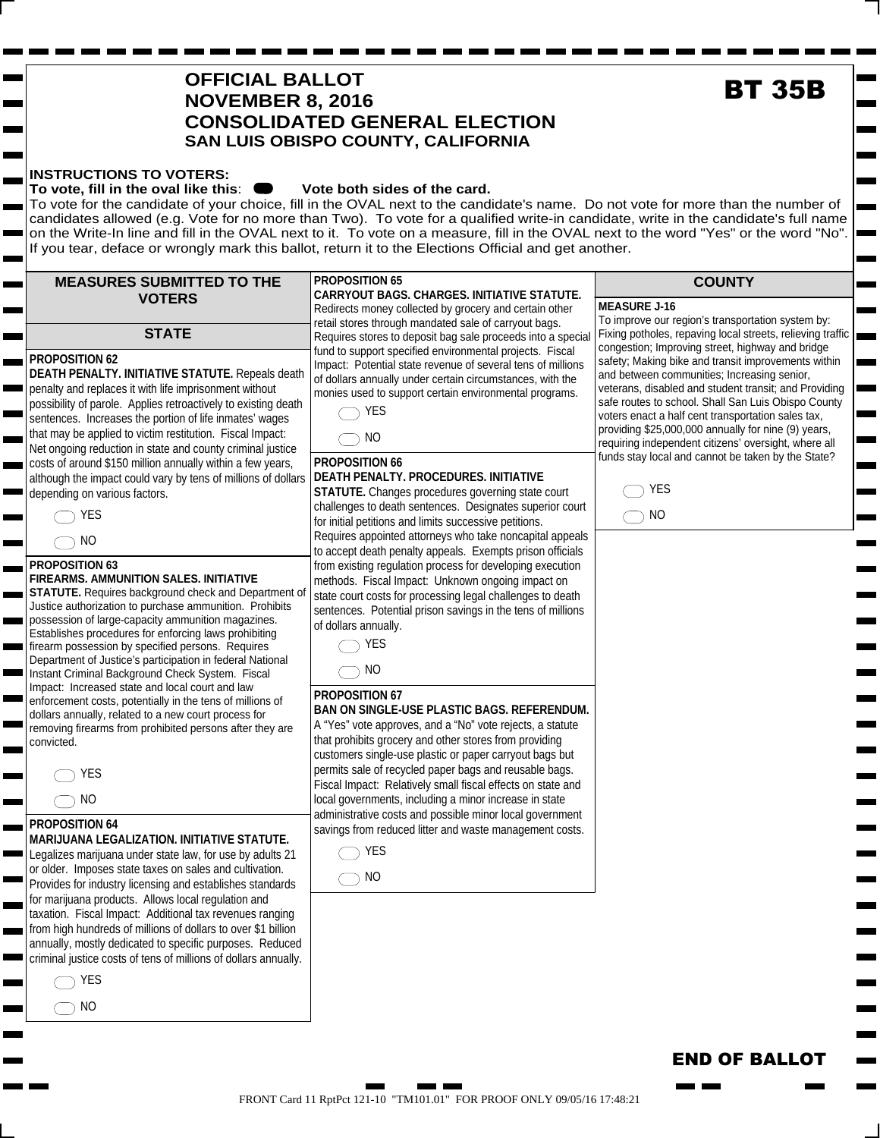# $\bigcirc$  YES  $\bigcirc$  NO FRONT Card 11 RptPct 121-10 "TM101.01" FOR PROOF ONLY 09/05/16 17:48:21

### **OFFICIAL BALLOT NOVEMBER 8, 2016 CONSOLIDATED GENERAL ELECTION SAN LUIS OBISPO COUNTY, CALIFORNIA**

 $\bigcirc$  yes  $\bigcirc$  NO

**PROPOSITION 66**

 $\bigcap$  YES  $\bigcirc$  NO

**PROPOSITION 67**

of dollars annually.

#### **INSTRUCTIONS TO VOTERS:**

#### To vote, fill in the oval like this:  $\bullet\bullet\bullet$  Vote both sides of the card.

To vote for the candidate of your choice, fill in the OVAL next to the candidate's name. Do not vote for more than the number of candidates allowed (e.g. Vote for no more than Two). To vote for a qualified write-in candidate, write in the candidate's full name on the Write-In line and fill in the OVAL next to it. To vote on a measure, fill in the OVAL next to the word "Yes" or the word "No". If you tear, deface or wrongly mark this ballot, return it to the Elections Official and get another.

> fund to support specified environmental projects. Fiscal Impact: Potential state revenue of several tens of millions of dollars annually under certain circumstances, with the monies used to support certain environmental programs.

**DEATH PENALTY. PROCEDURES. INITIATIVE STATUTE.** Changes procedures governing state court challenges to death sentences. Designates superior court for initial petitions and limits successive petitions. Requires appointed attorneys who take noncapital appeals to accept death penalty appeals. Exempts prison officials from existing regulation process for developing execution methods. Fiscal Impact: Unknown ongoing impact on state court costs for processing legal challenges to death sentences. Potential prison savings in the tens of millions

**BAN ON SINGLE-USE PLASTIC BAGS. REFERENDUM.**  A "Yes" vote approves, and a "No" vote rejects, a statute that prohibits grocery and other stores from providing customers single-use plastic or paper carryout bags but permits sale of recycled paper bags and reusable bags. Fiscal Impact: Relatively small fiscal effects on state and local governments, including a minor increase in state administrative costs and possible minor local government savings from reduced litter and waste management costs.

#### **MEASURES SUBMITTED TO THE VOTERS STATE PROPOSITION 65 CARRYOUT BAGS. CHARGES. INITIATIVE STATUTE.**  Redirects money collected by grocery and certain other retail stores through mandated sale of carryout bags. Requires stores to deposit bag sale proceeds into a special

#### **PROPOSITION 62**

**DEATH PENALTY. INITIATIVE STATUTE.** Repeals death penalty and replaces it with life imprisonment without possibility of parole. Applies retroactively to existing death sentences. Increases the portion of life inmates' wages that may be applied to victim restitution. Fiscal Impact: Net ongoing reduction in state and county criminal justice costs of around \$150 million annually within a few years, although the impact could vary by tens of millions of dollars depending on various factors.

|--|--|--|--|

 $\bigcirc$  NO

#### **PROPOSITION 63**

#### **FIREARMS. AMMUNITION SALES. INITIATIVE**

**STATUTE.** Requires background check and Department of Justice authorization to purchase ammunition. Prohibits possession of large-capacity ammunition magazines. Establishes procedures for enforcing laws prohibiting firearm possession by specified persons. Requires Department of Justice's participation in federal National Instant Criminal Background Check System. Fiscal Impact: Increased state and local court and law enforcement costs, potentially in the tens of millions of dollars annually, related to a new court process for removing firearms from prohibited persons after they are convicted.

 $\bigcirc$  NO

#### **PROPOSITION 64**

#### **MARIJUANA LEGALIZATION. INITIATIVE STATUTE.**

Legalizes marijuana under state law, for use by adults 21 or older. Imposes state taxes on sales and cultivation. Provides for industry licensing and establishes standards for marijuana products. Allows local regulation and taxation. Fiscal Impact: Additional tax revenues ranging from high hundreds of millions of dollars to over \$1 billion annually, mostly dedicated to specific purposes. Reduced criminal justice costs of tens of millions of dollars annually.

m. **The Company** 

 $\bigcirc$  NO

**MEASURE J-16** To improve our region's transportation system by: Fixing potholes, repaving local streets, relieving traffic congestion; Improving street, highway and bridge safety; Making bike and transit improvements within and between communities; Increasing senior, veterans, disabled and student transit; and Providing **EXECUTE:**<br>
The candidate's full navord "Yes" or the word "New Yes" or the word "New Yes" or the word "Prepaying local strects, relieving stresh, relieving size the proving street, highway and bridge and transit improvemen

E

**COUNTY**

safe routes to school. Shall San Luis Obispo County voters enact a half cent transportation sales tax, providing \$25,000,000 annually for nine (9) years, requiring independent citizens' oversight, where all funds stay local and cannot be taken by the State?

**END OF BALLOT** 

man ma

| FS      |
|---------|
| ٨I<br>t |

# **BT 35B**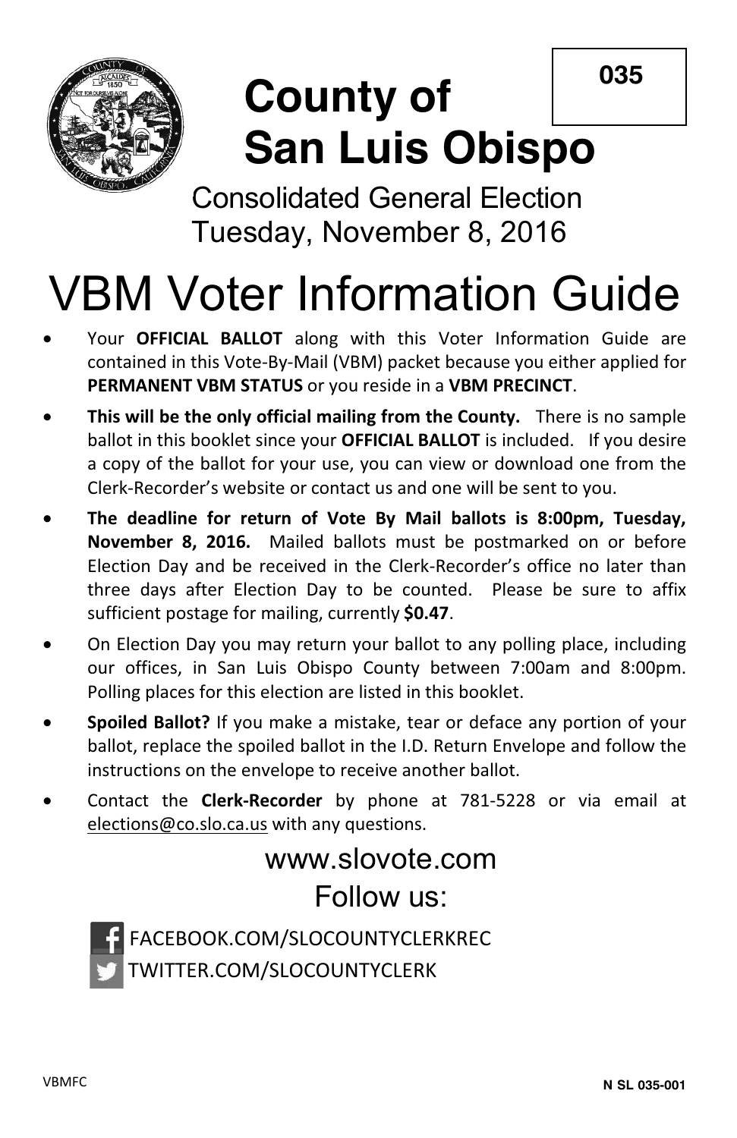**035**



# **County of San Luis Obispo**

Consolidated General Election Tuesday, November 8, 2016

# VBM Voter Information Guide

- Your **OFFICIAL BALLOT** along with this Voter Information Guide are contained in this Vote-By-Mail (VBM) packet because you either applied for **PERMANENT VBM STATUS** or you reside in a **VBM PRECINCT**.
- **This will be the only official mailing from the County.** There is no sample ballot in this booklet since your **OFFICIAL BALLOT** is included. If you desire a copy of the ballot for your use, you can view or download one from the Clerk-Recorder's website or contact us and one will be sent to you.
- x **The deadline for return of Vote By Mail ballots is 8:00pm, Tuesday, November 8, 2016.** Mailed ballots must be postmarked on or before Election Day and be received in the Clerk-Recorder's office no later than three days after Election Day to be counted. Please be sure to affix sufficient postage for mailing, currently **\$0.47**.
- On Election Day you may return your ballot to any polling place, including our offices, in San Luis Obispo County between 7:00am and 8:00pm. Polling places for this election are listed in this booklet.
- x **Spoiled Ballot?** If you make a mistake, tear or deface any portion of your ballot, replace the spoiled ballot in the I.D. Return Envelope and follow the instructions on the envelope to receive another ballot.
- x Contact the **Clerk-Recorder** by phone at 781-5228 or via email at elections@co.slo.ca.us with any questions.

# www.slovote.com Follow us:



FACEBOOK.COM/SLOCOUNTYCLERKREC TWITTER.COM/SLOCOUNTYCLERK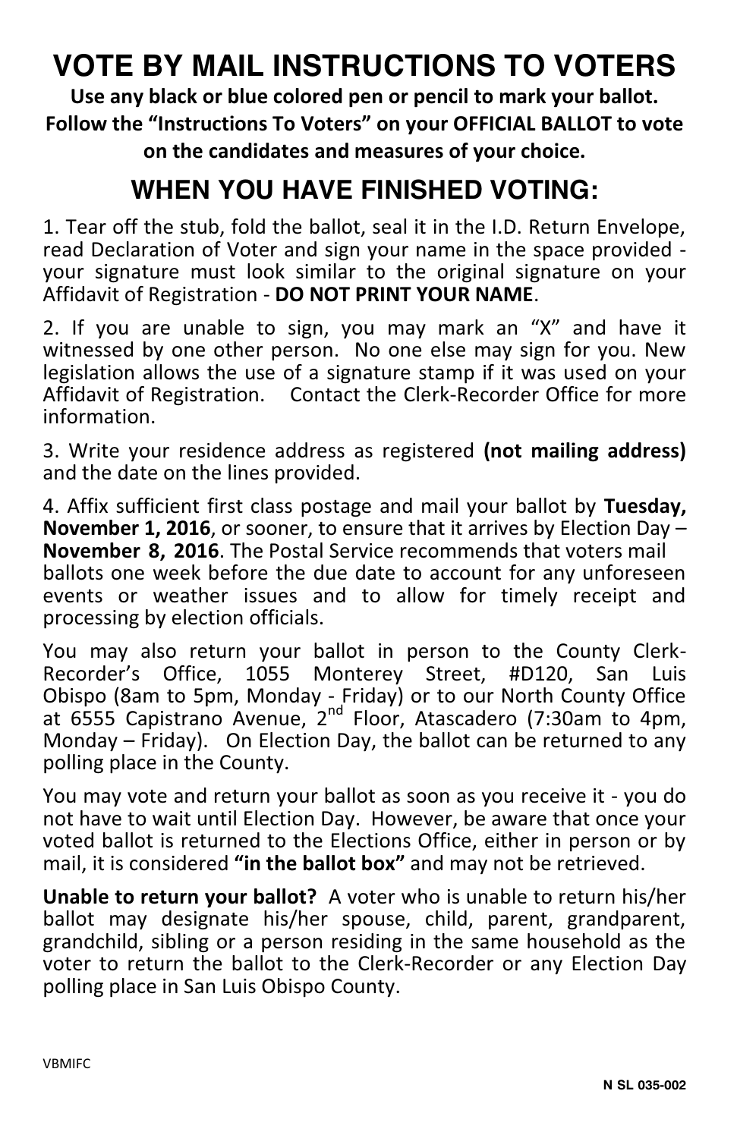# **VOTE BY MAIL INSTRUCTIONS TO VOTERS**

**Use any black or blue colored pen or pencil to mark your ballot. Follow the "Instructions To Voters" on your OFFICIAL BALLOT to vote on the candidates and measures of your choice.** 

# **WHEN YOU HAVE FINISHED VOTING:**

1. Tear off the stub, fold the ballot, seal it in the I.D. Return Envelope, read Declaration of Voter and sign your name in the space provided your signature must look similar to the original signature on your Affidavit of Registration - **DO NOT PRINT YOUR NAME**.

2. If you are unable to sign, you may mark an "X" and have it witnessed by one other person. No one else may sign for you. New legislation allows the use of a signature stamp if it was used on your Affidavit of Registration. Contact the Clerk-Recorder Office for more information.

3. Write your residence address as registered **(not mailing address)** and the date on the lines provided.

4. Affix sufficient first class postage and mail your ballot by **Tuesday, November 1, 2016**, or sooner, to ensure that it arrives by Election Day – **November 8, 2016**. The Postal Service recommends that voters mail ballots one week before the due date to account for any unforeseen events or weather issues and to allow for timely receipt and processing by election officials.

You may also return your ballot in person to the County Clerk-Recorder's Office, 1055 Monterey Street, #D120, San Luis Obispo (8am to 5pm, Monday - Friday) or to our North County Office at 6555 Capistrano Avenue, 2nd Floor, Atascadero (7:30am to 4pm, Monday – Friday). On Election Day, the ballot can be returned to any polling place in the County.

You may vote and return your ballot as soon as you receive it - you do not have to wait until Election Day. However, be aware that once your voted ballot is returned to the Elections Office, either in person or by mail, it is considered **"in the ballot box"** and may not be retrieved.

**Unable to return your ballot?** A voter who is unable to return his/her ballot may designate his/her spouse, child, parent, grandparent, grandchild, sibling or a person residing in the same household as the voter to return the ballot to the Clerk-Recorder or any Election Day polling place in San Luis Obispo County.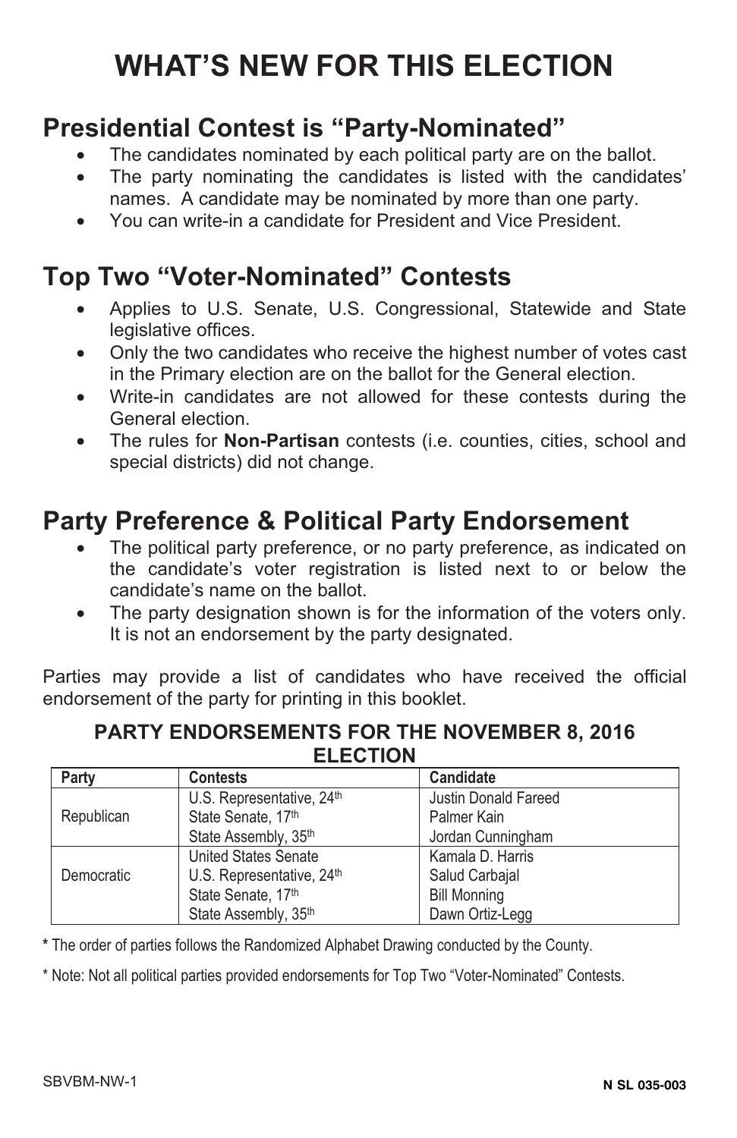# **WHAT'S NEW FOR THIS ELECTION**

# **Presidential Contest is "Party-Nominated"**

- The candidates nominated by each political party are on the ballot.
- The party nominating the candidates is listed with the candidates' names. A candidate may be nominated by more than one party.
- You can write-in a candidate for President and Vice President.

## **Top Two "Voter-Nominated" Contests**

- Applies to U.S. Senate, U.S. Congressional, Statewide and State legislative offices.
- Only the two candidates who receive the highest number of votes cast in the Primary election are on the ballot for the General election.
- Write-in candidates are not allowed for these contests during the General election.
- The rules for **Non-Partisan** contests (i.e. counties, cities, school and special districts) did not change.

# **Party Preference & Political Party Endorsement**

- The political party preference, or no party preference, as indicated on the candidate's voter registration is listed next to or below the candidate's name on the ballot.
- The party designation shown is for the information of the voters only. It is not an endorsement by the party designated.

Parties may provide a list of candidates who have received the official endorsement of the party for printing in this booklet.

#### **PARTY ENDORSEMENTS FOR THE NOVEMBER 8, 2016 ELECTION**

| Party      | <b>Contests</b>                       | Candidate                   |
|------------|---------------------------------------|-----------------------------|
|            | U.S. Representative, 24 <sup>th</sup> | <b>Justin Donald Fareed</b> |
| Republican | State Senate, 17th                    | Palmer Kain                 |
|            | State Assembly, 35th                  | Jordan Cunningham           |
|            | <b>United States Senate</b>           | Kamala D. Harris            |
| Democratic | U.S. Representative, 24th             | Salud Carbajal              |
|            | State Senate, 17th                    | <b>Bill Monning</b>         |
|            | State Assembly, 35th                  | Dawn Ortiz-Legg             |

**\*** The order of parties follows the Randomized Alphabet Drawing conducted by the County.

\* Note: Not all political parties provided endorsements for Top Two "Voter-Nominated" Contests.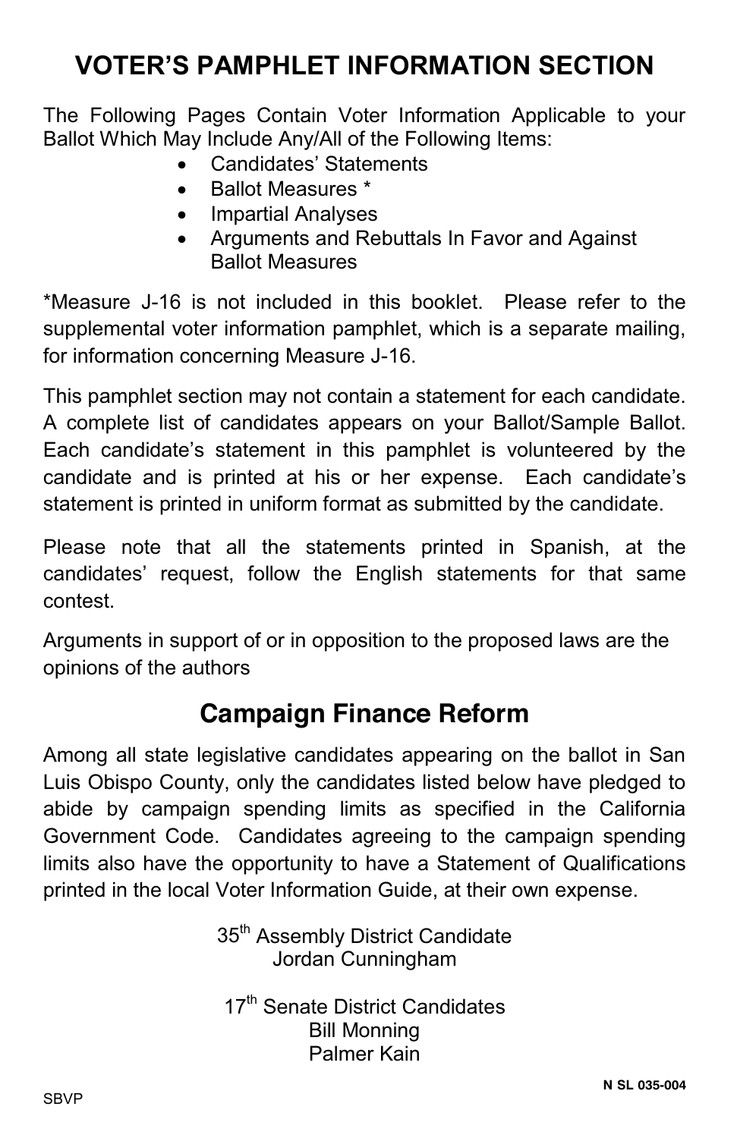# **VOTER'S PAMPHLET INFORMATION SECTION**

The Following Pages Contain Voter Information Applicable to your Ballot Which May Include Any/All of the Following Items:

- Candidates' Statements
- Ballot Measures \*
- Impartial Analyses
- x Arguments and Rebuttals In Favor and Against Ballot Measures

\*Measure J-16 is not included in this booklet. Please refer to the supplemental voter information pamphlet, which is a separate mailing, for information concerning Measure J-16.

This pamphlet section may not contain a statement for each candidate. A complete list of candidates appears on your Ballot/Sample Ballot. Each candidate's statement in this pamphlet is volunteered by the candidate and is printed at his or her expense. Each candidate's statement is printed in uniform format as submitted by the candidate.

Please note that all the statements printed in Spanish, at the candidates' request, follow the English statements for that same contest.

Arguments in support of or in opposition to the proposed laws are the opinions of the authors

# **Campaign Finance Reform**

Among all state legislative candidates appearing on the ballot in San Luis Obispo County, only the candidates listed below have pledged to abide by campaign spending limits as specified in the California Government Code. Candidates agreeing to the campaign spending limits also have the opportunity to have a Statement of Qualifications printed in the local Voter Information Guide, at their own expense.

> 35<sup>th</sup> Assembly District Candidate Jordan Cunningham

17<sup>th</sup> Senate District Candidates Bill Monning Palmer Kain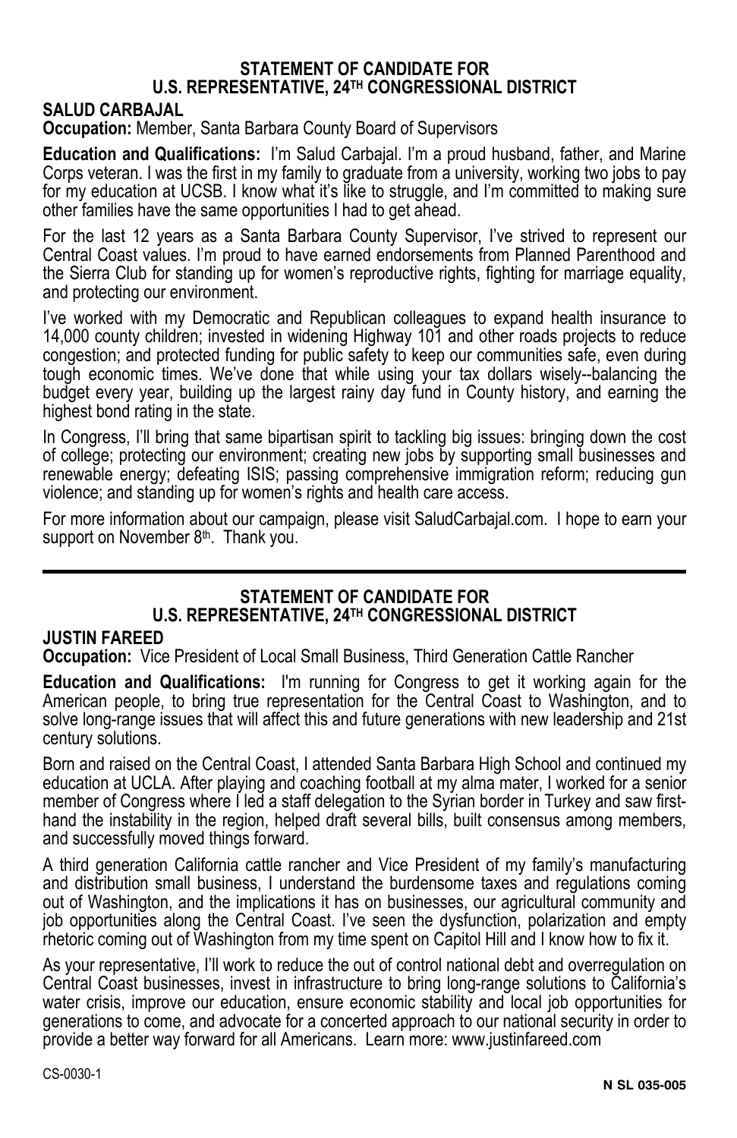#### **STATEMENT OF CANDIDATE FOR U.S. REPRESENTATIVE, 24TH CONGRESSIONAL DISTRICT**

#### **SALUD CARBAJAL**

**Occupation:** Member, Santa Barbara County Board of Supervisors

**Education and Qualifications:** I'm Salud Carbajal. I'm a proud husband, father, and Marine Corps veteran. I was the first in my family to graduate from a university, working two jobs to pay for my education at UCSB. I know what it's like to struggle, and I'm committed to making sure other families have the same opportunities I had to get ahead.

For the last 12 years as a Santa Barbara County Supervisor, I've strived to represent our Central Coast values. I'm proud to have earned endorsements from Planned Parenthood and the Sierra Club for standing up for women's reproductive rights, fighting for marriage equality, and protecting our environment.

I've worked with my Democratic and Republican colleagues to expand health insurance to 14,000 county children; invested in widening Highway 101 and other roads projects to reduce congestion; and protected funding for public safety to keep our communities safe, even during tough economic times. We've done that while using your tax dollars wisely--balancing the budget every year, building up the largest rainy day fund in County history, and earning the highest bond rating in the state.

In Congress, I'll bring that same bipartisan spirit to tackling big issues: bringing down the cost of college; protecting our environment; creating new jobs by supporting small businesses and renewable energy; defeating ISIS; passing comprehensive immigration reform; reducing gun violence; and standing up for women's rights and health care access.

For more information about our campaign, please visit SaludCarbajal.com. I hope to earn your support on November 8<sup>th</sup>. Thank you.

#### **STATEMENT OF CANDIDATE FOR U.S. REPRESENTATIVE, 24TH CONGRESSIONAL DISTRICT**

#### **JUSTIN FAREED**

**Occupation:** Vice President of Local Small Business, Third Generation Cattle Rancher

**Education and Qualifications:** I'm running for Congress to get it working again for the American people, to bring true representation for the Central Coast to Washington, and to solve long-range issues that will affect this and future generations with new leadership and 21st century solutions.

Born and raised on the Central Coast, I attended Santa Barbara High School and continued my education at UCLA. After playing and coaching football at my alma mater, I worked for a senior member of Congress where I led a staff delegation to the Syrian border in Turkey and saw firsthand the instability in the region, helped draft several bills, built consensus among members, and successfully moved things forward.

A third generation California cattle rancher and Vice President of my family's manufacturing and distribution small business, I understand the burdensome taxes and regulations coming out of Washington, and the implications it has on businesses, our agricultural community and job opportunities along the Central Coast. I've seen the dysfunction, polarization and empty rhetoric coming out of Washington from my time spent on Capitol Hill and I know how to fix it.

As your representative, I'll work to reduce the out of control national debt and overregulation on Central Coast businesses, invest in infrastructure to bring long-range solutions to California's water crisis, improve our education, ensure economic stability and local job opportunities for generations to come, and advocate for a concerted approach to our national security in order to provide a better way forward for all Americans. Learn more: www.justinfareed.com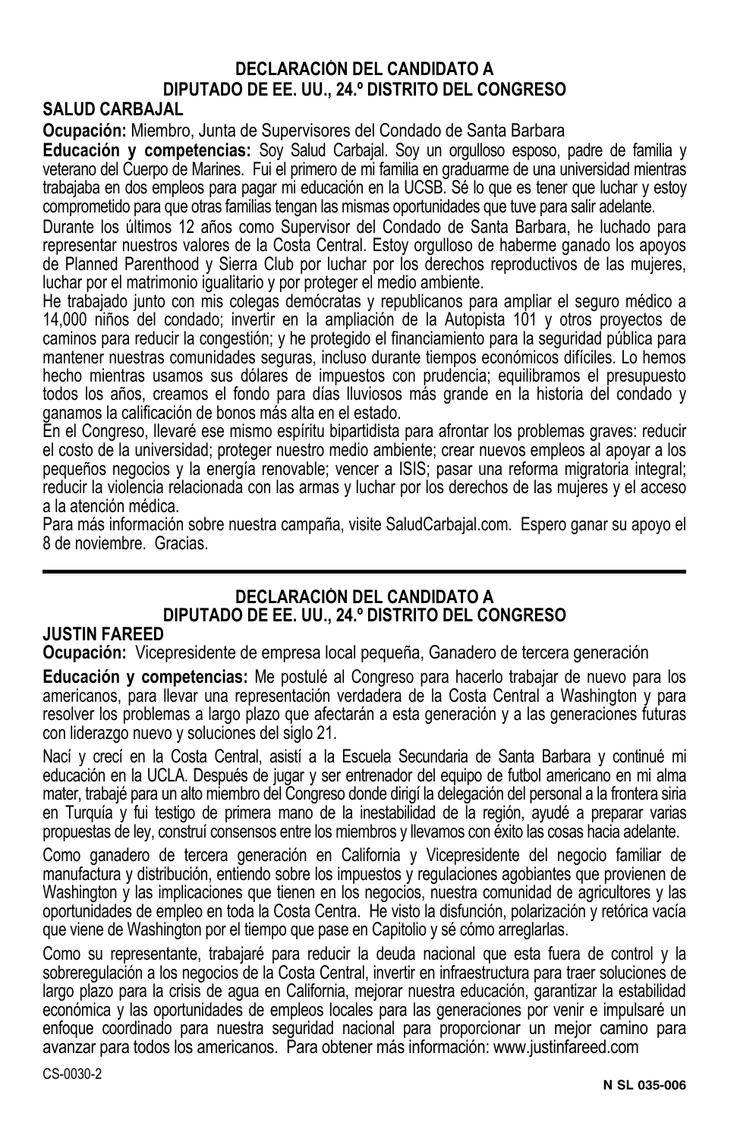#### **DECLARACIÓN DEL CANDIDATO A DIPUTADO DE EE. UU., 24.º DISTRITO DEL CONGRESO**

#### **SALUD CARBAJAL**

**Ocupación:** Miembro, Junta de Supervisores del Condado de Santa Barbara

**Educación y competencias:** Soy Salud Carbajal. Soy un orgulloso esposo, padre de familia y veterano del Cuerpo de Marines. Fui el primero de mi familia en graduarme de una universidad mientras trabajaba en dos empleos para pagar mi educación en la UCSB. Sé lo que es tener que luchar y estoy comprometido para que otras familias tengan las mismas oportunidades que tuve para salir adelante.

Durante los últimos 12 años como Supervisor del Condado de Santa Barbara, he luchado para representar nuestros valores de la Costa Central. Estoy orgulloso de haberme ganado los apoyos de Planned Parenthood y Sierra Club por luchar por los derechos reproductivos de las mujeres, luchar por el matrimonio igualitario y por proteger el medio ambiente.

He trabajado junto con mis colegas demócratas y republicanos para ampliar el seguro médico a 14,000 niños del condado; invertir en la ampliación de la Autopista 101 y otros proyectos de caminos para reducir la congestión; y he protegido el financiamiento para la seguridad pública para mantener nuestras comunidades seguras, incluso durante tiempos económicos difíciles. Lo hemos hecho mientras usamos sus dólares de impuestos con prudencia; equilibramos el presupuesto todos los años, creamos el fondo para días lluviosos más grande en la historia del condado y ganamos la calificación de bonos más alta en el estado.

En el Congreso, llevaré ese mismo espíritu bipartidista para afrontar los problemas graves: reducir el costo de la universidad; proteger nuestro medio ambiente; crear nuevos empleos al apoyar a los pequeños negocios y la energía renovable; vencer a ISIS; pasar una reforma migratoria integral; reducir la violencia relacionada con las armas y luchar por los derechos de las mujeres y el acceso a la atención médica.

Para más información sobre nuestra campaña, visite SaludCarbajal.com. Espero ganar su apoyo el 8 de noviembre. Gracias.

#### **DECLARACIÓN DEL CANDIDATO A DIPUTADO DE EE. UU., 24.º DISTRITO DEL CONGRESO**

#### **JUSTIN FAREED**

**Ocupación:** Vicepresidente de empresa local pequeña, Ganadero de tercera generación

**Educación y competencias:** Me postulé al Congreso para hacerlo trabajar de nuevo para los americanos, para llevar una representación verdadera de la Costa Central a Washington y para resolver los problemas a largo plazo que afectarán a esta generación y a las generaciones futuras con liderazgo nuevo y soluciones del siglo 21.

Nací y crecí en la Costa Central, asistí a la Escuela Secundaria de Santa Barbara y continué mi educación en la UCLA. Después de jugar y ser entrenador del equipo de futbol americano en mi alma mater, trabajé para un alto miembro del Congreso donde dirigí la delegación del personal a la frontera siria en Turquía y fui testigo de primera mano de la inestabilidad de la región, ayudé a preparar varias propuestas de ley, construí consensos entre los miembros y llevamos con éxito las cosas hacia adelante.

Como ganadero de tercera generación en California y Vicepresidente del negocio familiar de manufactura y distribución, entiendo sobre los impuestos y regulaciones agobiantes que provienen de Washington y las implicaciones que tienen en los negocios, nuestra comunidad de agricultores y las oportunidades de empleo en toda la Costa Centra. He visto la disfunción, polarización y retórica vacía que viene de Washington por el tiempo que pase en Capitolio y sé cómo arreglarlas.

Como su representante, trabajaré para reducir la deuda nacional que esta fuera de control y la sobreregulación a los negocios de la Costa Central, invertir en infraestructura para traer soluciones de largo plazo para la crisis de agua en California, mejorar nuestra educación, garantizar la estabilidad económica y las oportunidades de empleos locales para las generaciones por venir e impulsaré un enfoque coordinado para nuestra seguridad nacional para proporcionar un mejor camino para avanzar para todos los americanos. Para obtener más información: www.justinfareed.com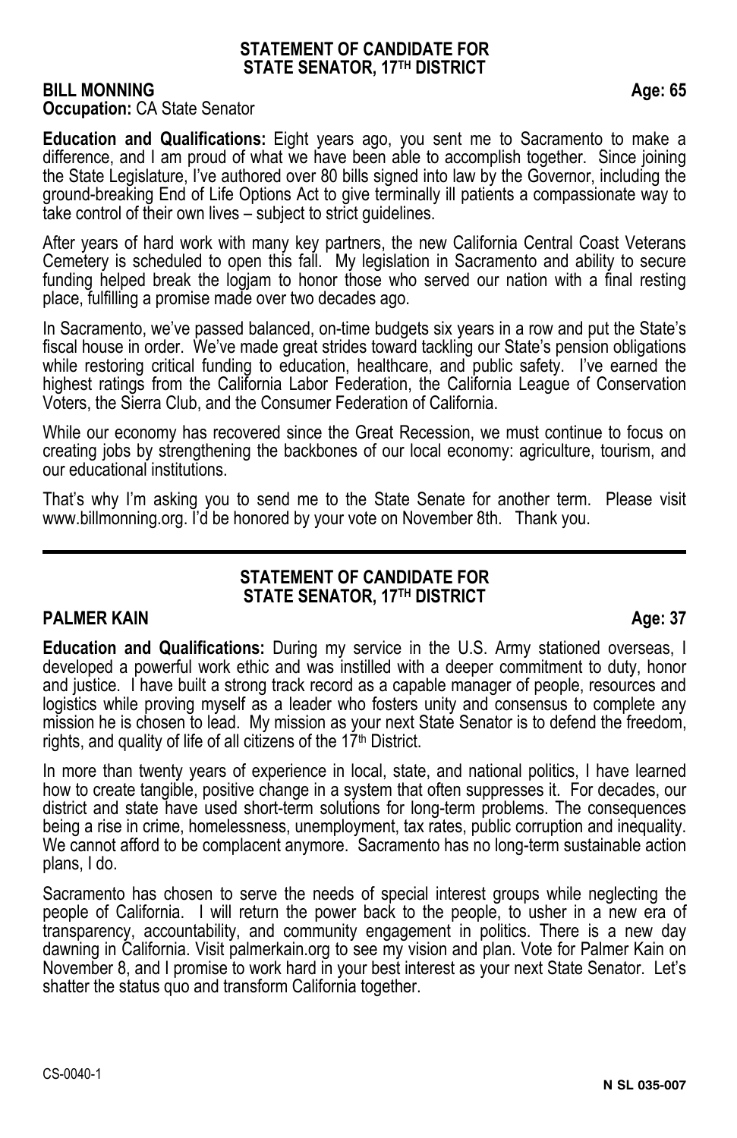#### **STATEMENT OF CANDIDATE FOR STATE SENATOR, 17TH DISTRICT**

#### **BILL MONNING Age: 65 Occupation: CA State Senator**

**Education and Qualifications:** Eight years ago, you sent me to Sacramento to make a difference, and I am proud of what we have been able to accomplish together. Since joining the State Legislature, I've authored over 80 bills signed into law by the Governor, including the ground-breaking End of Life Options Act to give terminally ill patients a compassionate way to take control of their own lives – subject to strict guidelines.

After years of hard work with many key partners, the new California Central Coast Veterans Cemetery is scheduled to open this fall. My legislation in Sacramento and ability to secure funding helped break the logjam to honor those who served our nation with a final resting place, fulfilling a promise made over two decades ago.

In Sacramento, we've passed balanced, on-time budgets six years in a row and put the State's fiscal house in order. We've made great strides toward tackling our State's pension obligations while restoring critical funding to education, healthcare, and public safety. I've earned the highest ratings from the California Labor Federation, the California League of Conservation Voters, the Sierra Club, and the Consumer Federation of California.

While our economy has recovered since the Great Recession, we must continue to focus on creating jobs by strengthening the backbones of our local economy: agriculture, tourism, and our educational institutions.

That's why I'm asking you to send me to the State Senate for another term. Please visit www.billmonning.org. I'd be honored by your vote on November 8th. Thank you.

#### **STATEMENT OF CANDIDATE FOR STATE SENATOR, 17TH DISTRICT**

#### **PALMER KAIN** Age: 37

**Education and Qualifications:** During my service in the U.S. Army stationed overseas, I developed a powerful work ethic and was instilled with a deeper commitment to duty, honor and justice. I have built a strong track record as a capable manager of people, resources and logistics while proving myself as a leader who fosters unity and consensus to complete any mission he is chosen to lead. My mission as your next State Senator is to defend the freedom, rights, and quality of life of all citizens of the 17<sup>th</sup> District.

In more than twenty years of experience in local, state, and national politics, I have learned how to create tangible, positive change in a system that often suppresses it. For decades, our district and state have used short-term solutions for long-term problems. The consequences being a rise in crime, homelessness, unemployment, tax rates, public corruption and inequality. We cannot afford to be complacent anymore. Sacramento has no long-term sustainable action plans, I do.

Sacramento has chosen to serve the needs of special interest groups while neglecting the people of California. I will return the power back to the people, to usher in a new era of transparency, accountability, and community engagement in politics. There is a new day dawning in California. Visit palmerkain.org to see my vision and plan. Vote for Palmer Kain on November 8, and I promise to work hard in your best interest as your next State Senator. Let's shatter the status quo and transform California together.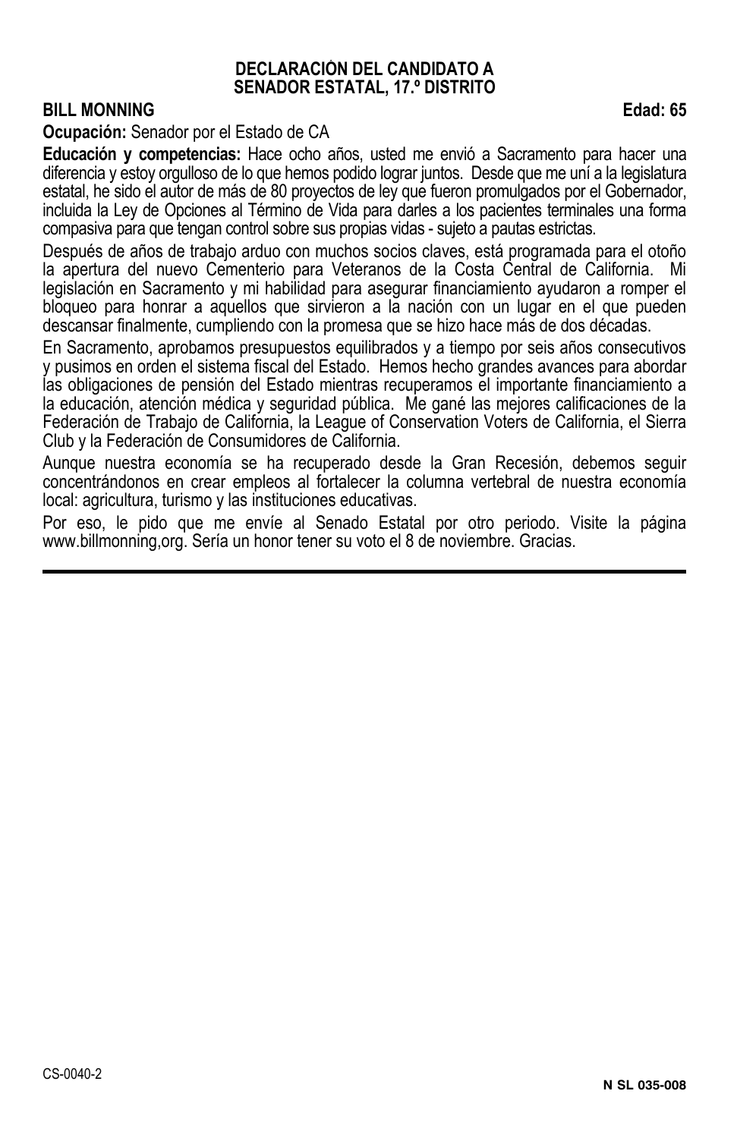#### **DECLARACIÓN DEL CANDIDATO A SENADOR ESTATAL, 17.º DISTRITO**

#### **BILL MONNING** Edad: 65

**Ocupación:** Senador por el Estado de CA

**Educación y competencias:** Hace ocho años, usted me envió a Sacramento para hacer una diferencia y estoy orgulloso de lo que hemos podido lograr juntos. Desde que me uní a la legislatura estatal, he sido el autor de más de 80 proyectos de ley que fueron promulgados por el Gobernador, incluida la Ley de Opciones al Término de Vida para darles a los pacientes terminales una forma compasiva para que tengan control sobre sus propias vidas - sujeto a pautas estrictas.

Después de años de trabajo arduo con muchos socios claves, está programada para el otoño la apertura del nuevo Cementerio para Veteranos de la Costa Central de California. Mi legislación en Sacramento y mi habilidad para asegurar financiamiento ayudaron a romper el bloqueo para honrar a aquellos que sirvieron a la nación con un lugar en el que pueden descansar finalmente, cumpliendo con la promesa que se hizo hace más de dos décadas.

En Sacramento, aprobamos presupuestos equilibrados y a tiempo por seis años consecutivos y pusimos en orden el sistema fiscal del Estado. Hemos hecho grandes avances para abordar las obligaciones de pensión del Estado mientras recuperamos el importante financiamiento a la educación, atención médica y seguridad pública. Me gané las mejores calificaciones de la Federación de Trabajo de California, la League of Conservation Voters de California, el Sierra Club y la Federación de Consumidores de California.

Aunque nuestra economía se ha recuperado desde la Gran Recesión, debemos seguir concentrándonos en crear empleos al fortalecer la columna vertebral de nuestra economía local: agricultura, turismo y las instituciones educativas.

Por eso, le pido que me envíe al Senado Estatal por otro periodo. Visite la página www.billmonning,org. Sería un honor tener su voto el 8 de noviembre. Gracias.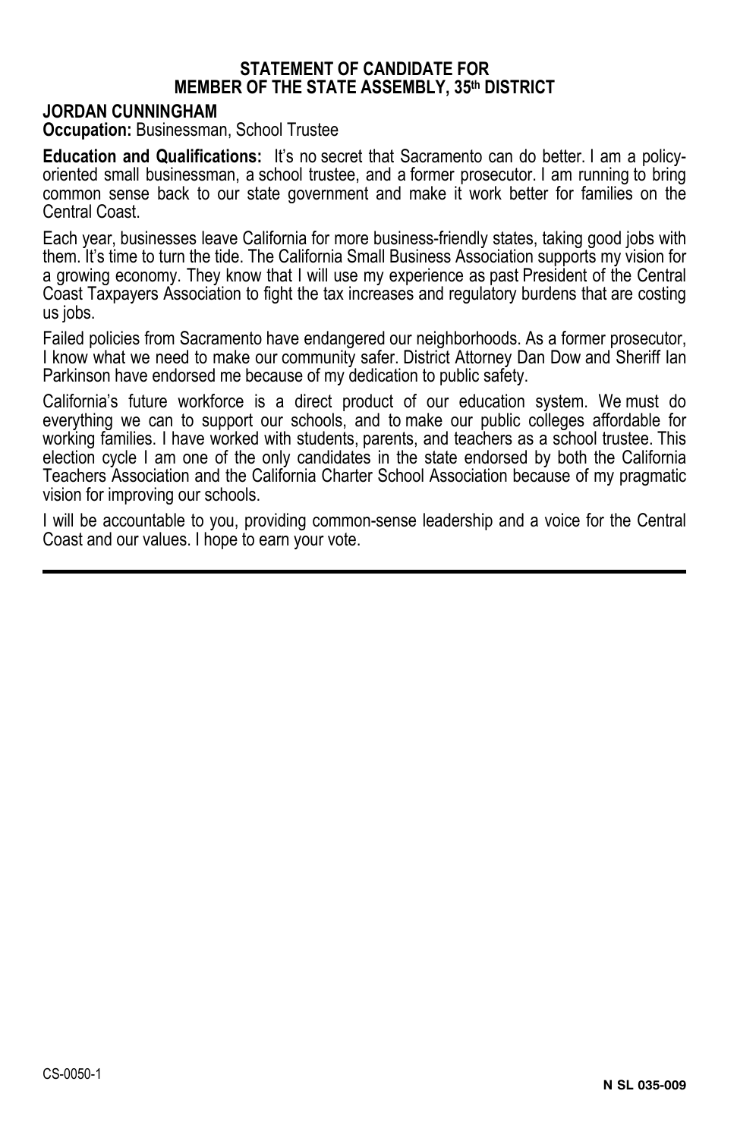#### **STATEMENT OF CANDIDATE FOR MEMBER OF THE STATE ASSEMBLY, 35th DISTRICT**

#### **JORDAN CUNNINGHAM**

**Occupation: Businessman, School Trustee** 

**Education and Qualifications:** It's no secret that Sacramento can do better. I am a policyoriented small businessman, a school trustee, and a former prosecutor. I am running to bring common sense back to our state government and make it work better for families on the Central Coast.

Each year, businesses leave California for more business-friendly states, taking good jobs with them. It's time to turn the tide. The California Small Business Association supports my vision for a growing economy. They know that I will use my experience as past President of the Central Coast Taxpayers Association to fight the tax increases and regulatory burdens that are costing us jobs.

Failed policies from Sacramento have endangered our neighborhoods. As a former prosecutor, I know what we need to make our community safer. District Attorney Dan Dow and Sheriff Ian Parkinson have endorsed me because of my dedication to public safety.

California's future workforce is a direct product of our education system. We must do everything we can to support our schools, and to make our public colleges affordable for working families. I have worked with students, parents, and teachers as a school trustee. This election cycle I am one of the only candidates in the state endorsed by both the California Teachers Association and the California Charter School Association because of my pragmatic vision for improving our schools.

I will be accountable to you, providing common-sense leadership and a voice for the Central Coast and our values. I hope to earn your vote.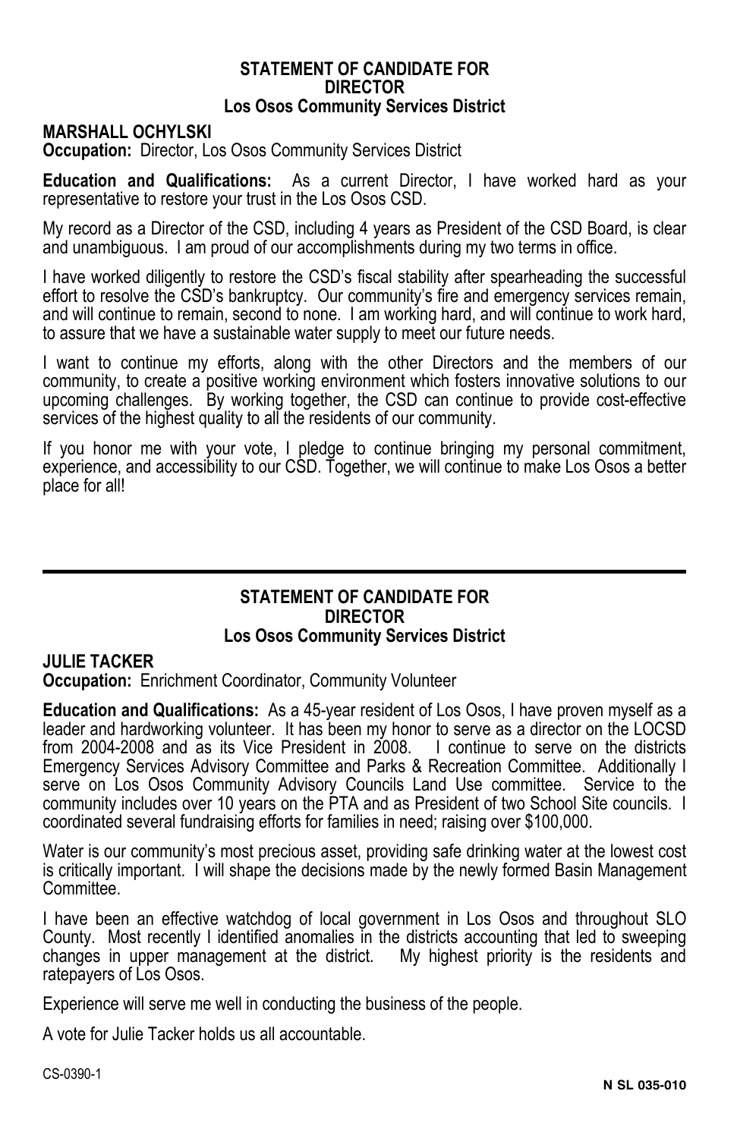#### **STATEMENT OF CANDIDATE FOR DIRECTOR Los Osos Community Services District**

#### **MARSHALL OCHYLSKI**

**Occupation:** Director, Los Osos Community Services District

**Education and Qualifications:** As a current Director, I have worked hard as your representative to restore your trust in the Los Osos CSD.

My record as a Director of the CSD, including 4 years as President of the CSD Board, is clear and unambiguous. I am proud of our accomplishments during my two terms in office.

I have worked diligently to restore the CSD's fiscal stability after spearheading the successful effort to resolve the CSD's bankruptcy. Our community's fire and emergency services remain, and will continue to remain, second to none. I am working hard, and will continue to work hard, to assure that we have a sustainable water supply to meet our future needs.

I want to continue my efforts, along with the other Directors and the members of our community, to create a positive working environment which fosters innovative solutions to our upcoming challenges. By working together, the CSD can continue to provide cost-effective services of the highest quality to all the residents of our community.

If you honor me with your vote, I pledge to continue bringing my personal commitment, experience, and accessibility to our CSD. Together, we will continue to make Los Osos a better place for all!

#### **STATEMENT OF CANDIDATE FOR DIRECTOR Los Osos Community Services District**

#### **JULIE TACKER**

**Occupation:** Enrichment Coordinator, Community Volunteer

**Education and Qualifications:** As a 45-year resident of Los Osos, I have proven myself as a leader and hardworking volunteer. It has been my honor to serve as a director on the LOCSD from 2004-2008 and as its Vice President in 2008. I continue to serve on the districts Emergency Services Advisory Committee and Parks & Recreation Committee. Additionally I serve on Los Osos Community Advisory Councils Land Use committee. Service to the community includes over 10 years on the PTA and as President of two School Site councils. I coordinated several fundraising efforts for families in need; raising over \$100,000.

Water is our community's most precious asset, providing safe drinking water at the lowest cost is critically important. I will shape the decisions made by the newly formed Basin Management Committee.

I have been an effective watchdog of local government in Los Osos and throughout SLO County. Most recently I identified anomalies in the districts accounting that led to sweeping changes in upper management at the district. My highest priority is the residents and ratepayers of Los Osos.

Experience will serve me well in conducting the business of the people.

A vote for Julie Tacker holds us all accountable.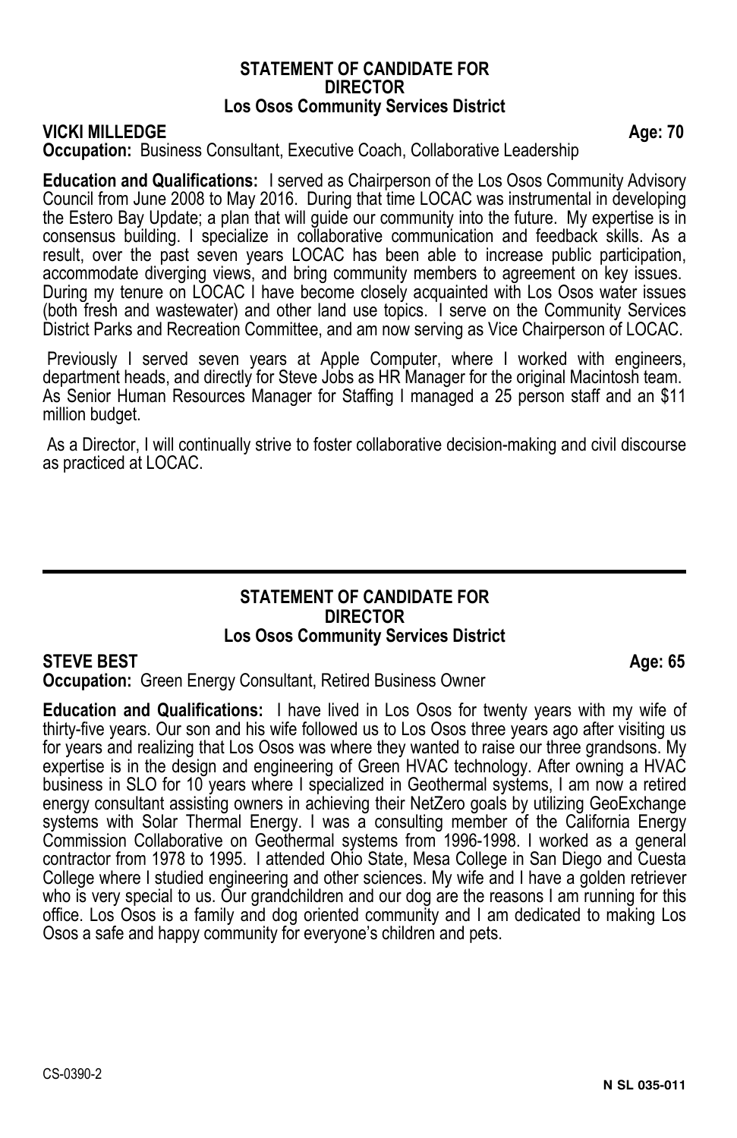#### **STATEMENT OF CANDIDATE FOR DIRECTOR Los Osos Community Services District**

**VICKI MILLEDGE Age: 70** 

#### **Occupation:** Business Consultant, Executive Coach, Collaborative Leadership

**Education and Qualifications:** I served as Chairperson of the Los Osos Community Advisory Council from June 2008 to May 2016. During that time LOCAC was instrumental in developing the Estero Bay Update; a plan that will guide our community into the future. My expertise is in consensus building. I specialize in collaborative communication and feedback skills. As a result, over the past seven years LOCAC has been able to increase public participation, accommodate diverging views, and bring community members to agreement on key issues. During my tenure on LOCAC I have become closely acquainted with Los Osos water issues (both fresh and wastewater) and other land use topics. I serve on the Community Services District Parks and Recreation Committee, and am now serving as Vice Chairperson of LOCAC.

Previously I served seven years at Apple Computer, where I worked with engineers, department heads, and directly for Steve Jobs as HR Manager for the original Macintosh team. As Senior Human Resources Manager for Staffing I managed a 25 person staff and an \$11 million budget.

 As a Director, I will continually strive to foster collaborative decision-making and civil discourse as practiced at LOCAC.

#### **STATEMENT OF CANDIDATE FOR DIRECTOR Los Osos Community Services District**

#### **STEVE BEST** Age: 65

**Occupation:** Green Energy Consultant, Retired Business Owner

**Education and Qualifications:** I have lived in Los Osos for twenty years with my wife of thirty-five years. Our son and his wife followed us to Los Osos three years ago after visiting us for years and realizing that Los Osos was where they wanted to raise our three grandsons. My expertise is in the design and engineering of Green HVAC technology. After owning a HVAC business in SLO for 10 years where I specialized in Geothermal systems, I am now a retired energy consultant assisting owners in achieving their NetZero goals by utilizing GeoExchange systems with Solar Thermal Energy. I was a consulting member of the California Energy Commission Collaborative on Geothermal systems from 1996-1998. I worked as a general contractor from 1978 to 1995. I attended Ohio State, Mesa College in San Diego and Cuesta College where I studied engineering and other sciences. My wife and I have a golden retriever who is very special to us. Our grandchildren and our dog are the reasons I am running for this office. Los Osos is a family and dog oriented community and I am dedicated to making Los Osos a safe and happy community for everyone's children and pets.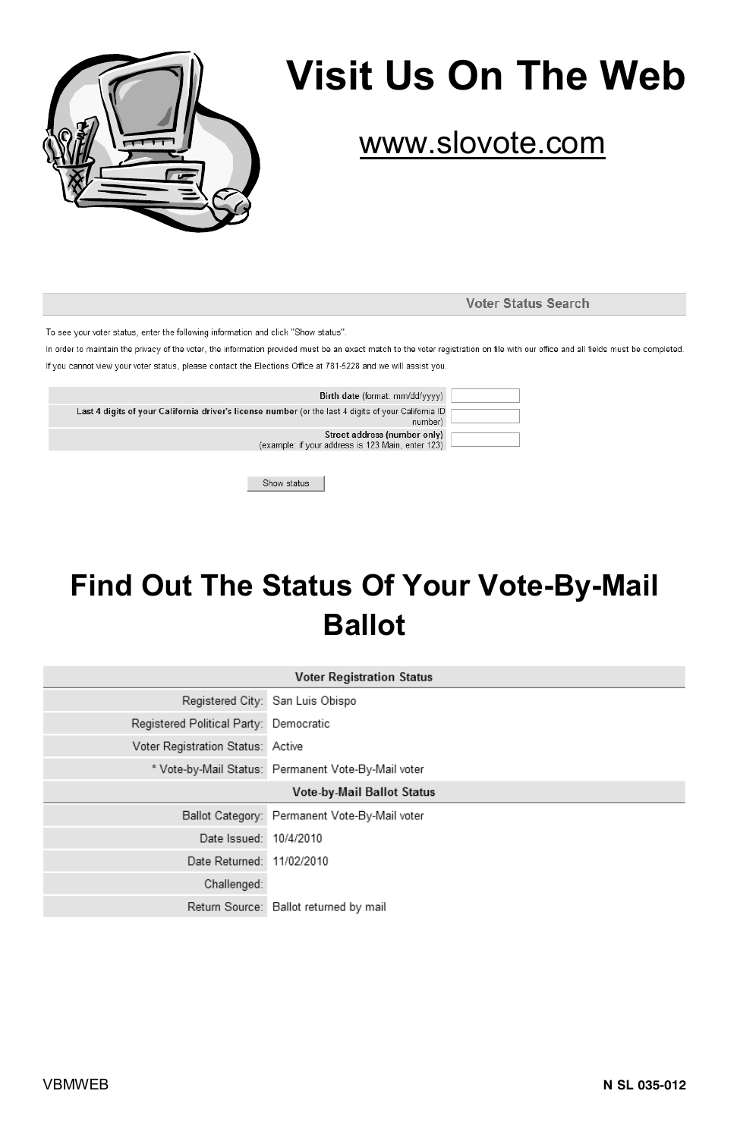

# **Visit Us On The Web**

# www.slovote.com

Voter Status Search

To see your voter status, enter the following information and click "Show status"

In order to maintain the privacy of the voter, the information provided must be an exact match to the voter registration on file with our office and all fields must be completed If you cannot view your voter status, please contact the Elections Office at 781-5228 and we will assist you

| Birth date (format: mm/dd/vvvv)                                                                      |         |
|------------------------------------------------------------------------------------------------------|---------|
| Last 4 digits of your California driver's license number (or the last 4 digits of your California ID | number) |
| Street address (number only)<br>(example: if your address is 123 Main, enter 123)                    |         |
|                                                                                                      |         |

Show status

# **Find Out The Status Of Your Vote-By-Mail Ballot**

| <b>Voter Registration Status</b>       |                                                     |  |
|----------------------------------------|-----------------------------------------------------|--|
|                                        | Registered City: San Luis Obispo                    |  |
| Registered Political Party: Democratic |                                                     |  |
| Voter Registration Status: Active      |                                                     |  |
|                                        | * Vote-by-Mail Status: Permanent Vote-By-Mail voter |  |
| Vote-by-Mail Ballot Status             |                                                     |  |
|                                        | Ballot Category: Permanent Vote-By-Mail voter       |  |
| Date Issued: 10/4/2010                 |                                                     |  |
| Date Returned: 11/02/2010              |                                                     |  |
| Challenged:                            |                                                     |  |
|                                        | Return Source: Ballot returned by mail              |  |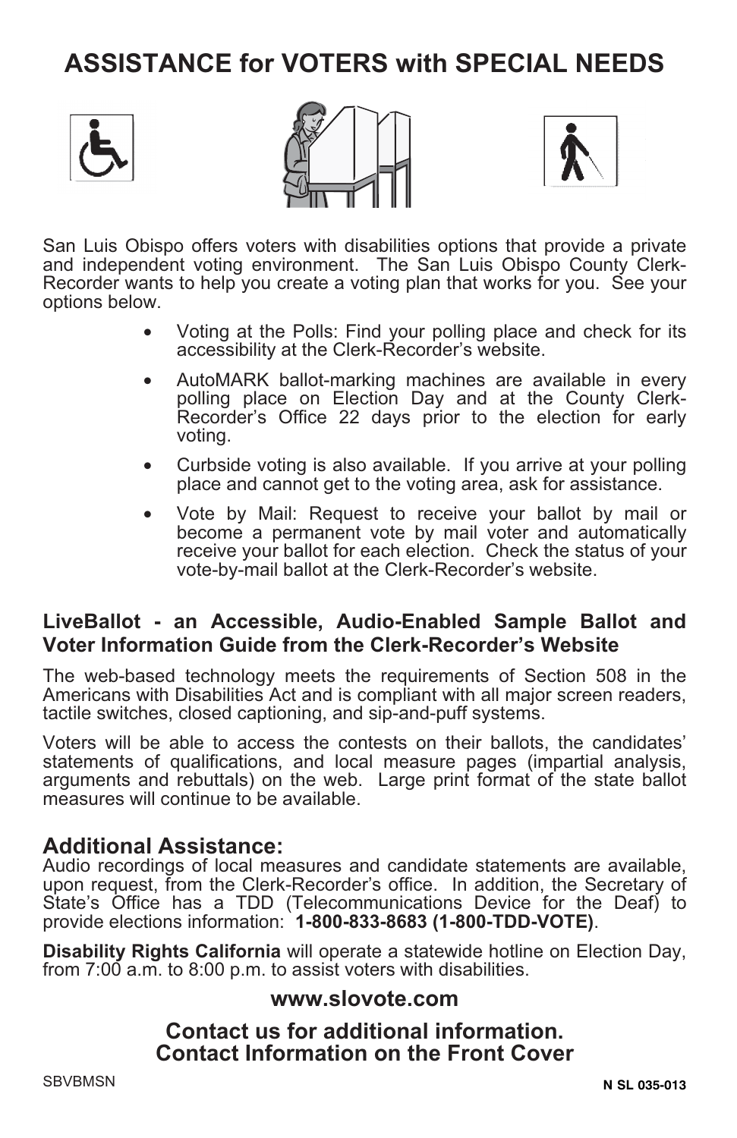# **ASSISTANCE for VOTERS with SPECIAL NEEDS**







San Luis Obispo offers voters with disabilities options that provide a private and independent voting environment. The San Luis Obispo County Clerk-Recorder wants to help you create a voting plan that works for you. See your options below.

- Voting at the Polls: Find your polling place and check for its accessibility at the Clerk-Recorder's website.
- AutoMARK ballot-marking machines are available in every polling place on Election Day and at the County Clerk-Recorder's Office 22 days prior to the election for early voting.
- Curbside voting is also available. If you arrive at your polling place and cannot get to the voting area, ask for assistance.
- Vote by Mail: Request to receive your ballot by mail or become a permanent vote by mail voter and automatically receive your ballot for each election. Check the status of your vote-by-mail ballot at the Clerk-Recorder's website.

#### **LiveBallot - an Accessible, Audio-Enabled Sample Ballot and Voter Information Guide from the Clerk-Recorder's Website**

The web-based technology meets the requirements of Section 508 in the Americans with Disabilities Act and is compliant with all major screen readers, tactile switches, closed captioning, and sip-and-puff systems.

Voters will be able to access the contests on their ballots, the candidates' statements of qualifications, and local measure pages (impartial analysis, arguments and rebuttals) on the web. Large print format of the state ballot measures will continue to be available.

#### **Additional Assistance:**

Audio recordings of local measures and candidate statements are available, upon request, from the Clerk-Recorder's office. In addition, the Secretary of State's Office has a TDD (Telecommunications Device for the Deaf) to provide elections information: **1-800-833-8683 (1-800-TDD-VOTE)**.

**Disability Rights California** will operate a statewide hotline on Election Day, from 7:00 a.m. to 8:00 p.m. to assist voters with disabilities.

#### **www.slovote.com**

#### **Contact us for additional information. Contact Information on the Front Cover**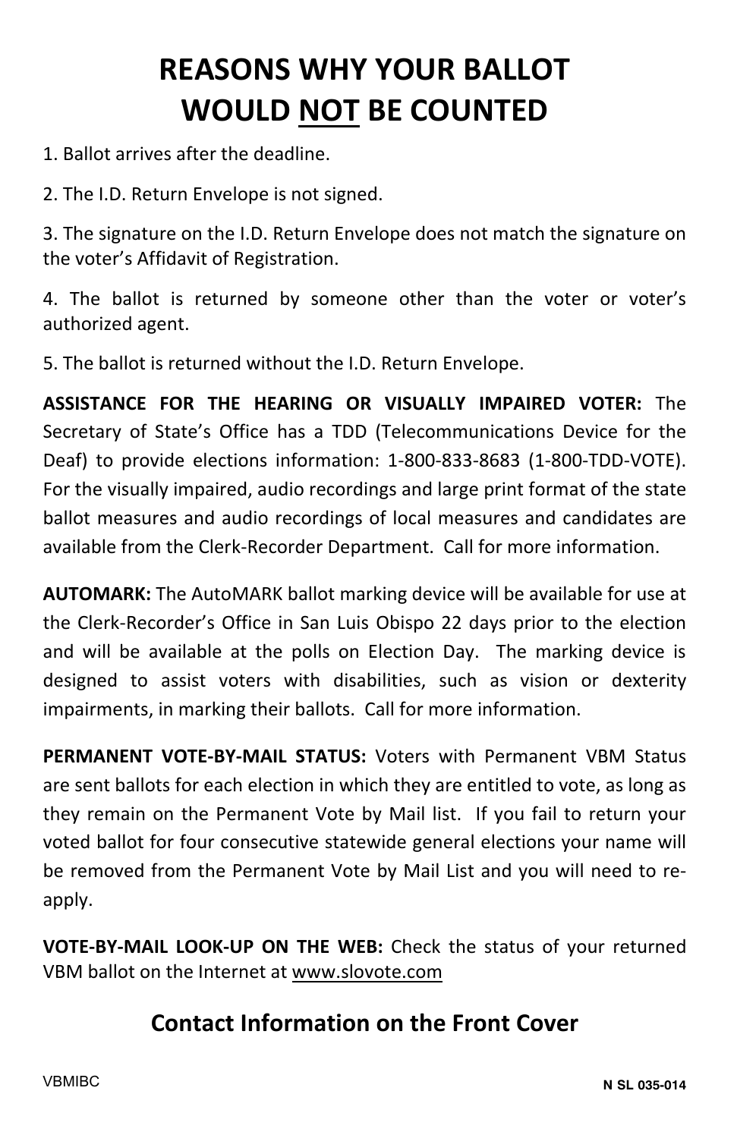# **REASONS WHY YOUR BALLOT WOULD NOT BE COUNTED**

- 1. Ballot arrives after the deadline.
- 2. The I.D. Return Envelope is not signed.

3. The signature on the I.D. Return Envelope does not match the signature on the voter's Affidavit of Registration.

4. The ballot is returned by someone other than the voter or voter's authorized agent.

5. The ballot is returned without the I.D. Return Envelope.

**ASSISTANCE FOR THE HEARING OR VISUALLY IMPAIRED VOTER:** The Secretary of State's Office has a TDD (Telecommunications Device for the Deaf) to provide elections information: 1-800-833-8683 (1-800-TDD-VOTE). For the visually impaired, audio recordings and large print format of the state ballot measures and audio recordings of local measures and candidates are available from the Clerk-Recorder Department. Call for more information.

**AUTOMARK:** The AutoMARK ballot marking device will be available for use at the Clerk-Recorder's Office in San Luis Obispo 22 days prior to the election and will be available at the polls on Election Day. The marking device is designed to assist voters with disabilities, such as vision or dexterity impairments, in marking their ballots. Call for more information.

**PERMANENT VOTE-BY-MAIL STATUS:** Voters with Permanent VBM Status are sent ballots for each election in which they are entitled to vote, as long as they remain on the Permanent Vote by Mail list. If you fail to return your voted ballot for four consecutive statewide general elections your name will be removed from the Permanent Vote by Mail List and you will need to reapply.

**VOTE-BY-MAIL LOOK-UP ON THE WEB:** Check the status of your returned VBM ballot on the Internet at www.slovote.com

### **Contact Information on the Front Cover**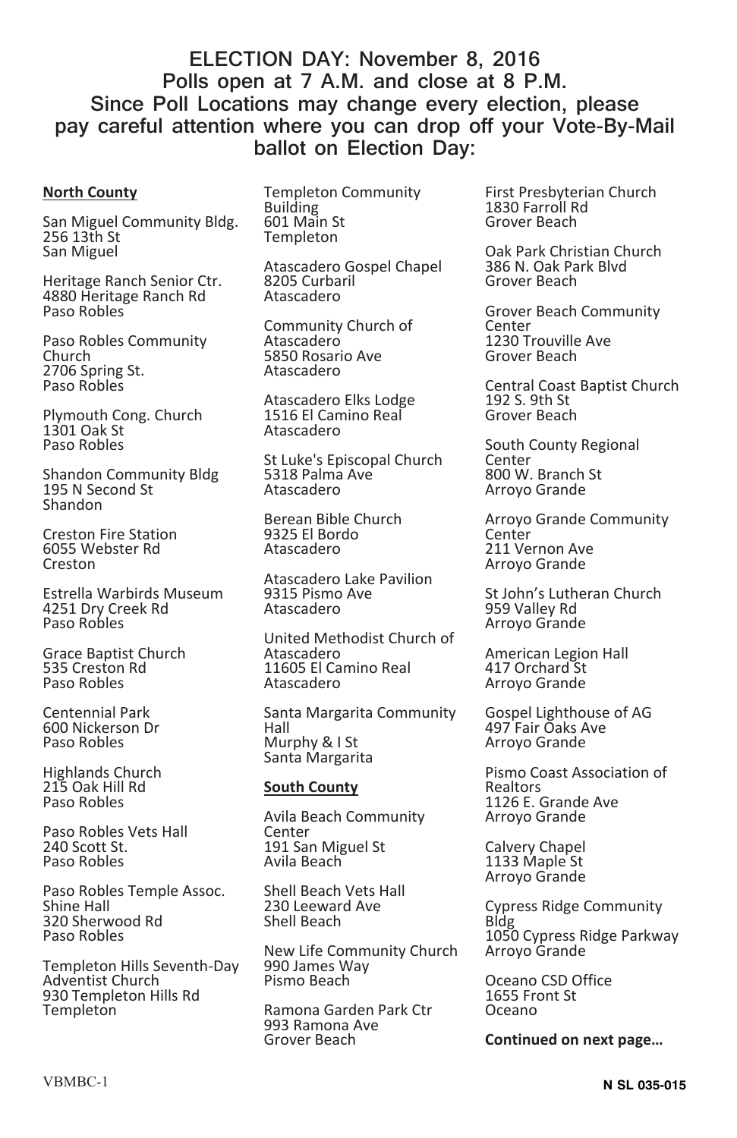#### **ELECTION DAY: November 8, 2016 Polls open at 7 A.M. and close at 8 P.M. Since Poll Locations may change every election, please pay careful attention where you can drop off your Vote-By-Mail ballot on Election Day:**

#### **North County**

San Miguel Community Bldg. 256 13th St San Miguel

Heritage Ranch Senior Ctr. 4880 Heritage Ranch Rd Paso Robles

Paso Robles Community Church 2706 Spring St. Paso Robles

Plymouth Cong. Church 1301 Oak St Paso Robles

Shandon Community Bldg 195 N Second St Shandon

Creston Fire Station 6055 Webster Rd Creston

Estrella Warbirds Museum 4251 Dry Creek Rd Paso Robles

Grace Baptist Church 535 Creston Rd Paso Robles

Centennial Park 600 Nickerson Dr Paso Robles

Highlands Church 215 Oak Hill Rd Paso Robles

Paso Robles Vets Hall 240 Scott St. Paso Robles

Paso Robles Temple Assoc. Shine Hall 320 Sherwood Rd Paso Robles

Templeton Hills Seventh-Day Adventist Church 930 Templeton Hills Rd **Templeton** 

Templeton Community Building 601 Main St Templeton

Atascadero Gospel Chapel 8205 Curbaril Atascadero

Community Church of Atascadero 5850 Rosario Ave Atascadero

Atascadero Elks Lodge 1516 El Camino Real Atascadero

St Luke's Episcopal Church 5318 Palma Ave Atascadero

Berean Bible Church 9325 El Bordo Atascadero

Atascadero Lake Pavilion 9315 Pismo Ave Atascadero

United Methodist Church of Atascadero 11605 El Camino Real Atascadero

Santa Margarita Community Hall Murphy & I St Santa Margarita

#### **South County**

Avila Beach Community **Center** 191 San Miguel St Avila Beach

Shell Beach Vets Hall 230 Leeward Ave Shell Beach

New Life Community Church 990 James Way Pismo Beach

Ramona Garden Park Ctr 993 Ramona Ave Grover Beach

First Presbyterian Church 1830 Farroll Rd Grover Beach

Oak Park Christian Church 386 N. Oak Park Blvd Grover Beach

Grover Beach Community Center 1230 Trouville Ave Grover Beach

Central Coast Baptist Church 192 S. 9th St Grover Beach

South County Regional Center 800 W. Branch St Arroyo Grande

Arroyo Grande Community **Center** 211 Vernon Ave Arroyo Grande

St John's Lutheran Church 959 Valley Rd Arroyo Grande

American Legion Hall 417 Orchard St Arroyo Grande

Gospel Lighthouse of AG 497 Fair Oaks Ave Arroyo Grande

Pismo Coast Association of Realtors 1126 E. Grande Ave Arroyo Grande

Calvery Chapel 1133 Maple St Arroyo Grande

Cypress Ridge Community Bldg 1050 Cypress Ridge Parkway Arroyo Grande

Oceano CSD Office 1655 Front St Oceano

**Continued on next page…**